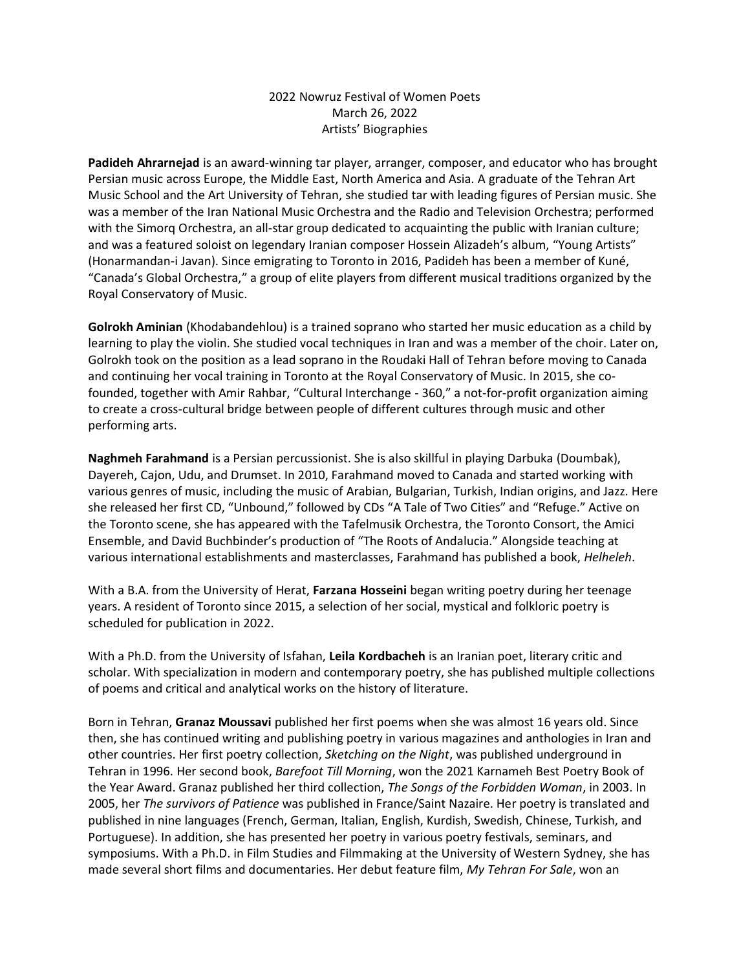## 2022 Nowruz Festival of Women Poets March 26, 2022 Artists' Biographies

**Padideh Ahrarnejad** is an award-winning tar player, arranger, composer, and educator who has brought Persian music across Europe, the Middle East, North America and Asia. A graduate of the Tehran Art Music School and the Art University of Tehran, she studied tar with leading figures of Persian music. She was a member of the Iran National Music Orchestra and the Radio and Television Orchestra; performed with the Simorq Orchestra, an all-star group dedicated to acquainting the public with Iranian culture; and was a featured soloist on legendary Iranian composer Hossein Alizadeh's album, "Young Artists" (Honarmandan-i Javan). Since emigrating to Toronto in 2016, Padideh has been a member of Kuné, "Canada's Global Orchestra," a group of elite players from different musical traditions organized by the Royal Conservatory of Music.

**Golrokh Aminian** (Khodabandehlou) is a trained soprano who started her music education as a child by learning to play the violin. She studied vocal techniques in Iran and was a member of the choir. Later on, Golrokh took on the position as a lead soprano in the Roudaki Hall of Tehran before moving to Canada and continuing her vocal training in Toronto at the Royal Conservatory of Music. In 2015, she cofounded, together with Amir Rahbar, "Cultural Interchange - 360," a not-for-profit organization aiming to create a cross-cultural bridge between people of different cultures through music and other performing arts.

**Naghmeh Farahmand** is a Persian percussionist. She is also skillful in playing Darbuka (Doumbak), Dayereh, Cajon, Udu, and Drumset. In 2010, Farahmand moved to Canada and started working with various genres of music, including the music of Arabian, Bulgarian, Turkish, Indian origins, and Jazz. Here she released her first CD, "Unbound," followed by CDs "A Tale of Two Cities" and "Refuge." Active on the Toronto scene, she has appeared with the Tafelmusik Orchestra, the Toronto Consort, the Amici Ensemble, and David Buchbinder's production of "The Roots of Andalucia." Alongside teaching at various international establishments and masterclasses, Farahmand has published a book, *Helheleh*.

With a B.A. from the University of Herat, **Farzana Hosseini** began writing poetry during her teenage years. A resident of Toronto since 2015, a selection of her social, mystical and folkloric poetry is scheduled for publication in 2022.

With a Ph.D. from the University of Isfahan, **Leila Kordbacheh** is an Iranian poet, literary critic and scholar. With specialization in modern and contemporary poetry, she has published multiple collections of poems and critical and analytical works on the history of literature.

Born in Tehran, **Granaz Moussavi** published her first poems when she was almost 16 years old. Since then, she has continued writing and publishing poetry in various magazines and anthologies in Iran and other countries. Her first poetry collection, *Sketching on the Night*, was published underground in Tehran in 1996. Her second book, *Barefoot Till Morning*, won the 2021 Karnameh Best Poetry Book of the Year Award. Granaz published her third collection, *The Songs of the Forbidden Woman*, in 2003. In 2005, her *The survivors of Patience* was published in France/Saint Nazaire. Her poetry is translated and published in nine languages (French, German, Italian, English, Kurdish, Swedish, Chinese, Turkish, and Portuguese). In addition, she has presented her poetry in various poetry festivals, seminars, and symposiums. With a Ph.D. in Film Studies and Filmmaking at the University of Western Sydney, she has made several short films and documentaries. Her debut feature film, *My Tehran For Sale*, won an